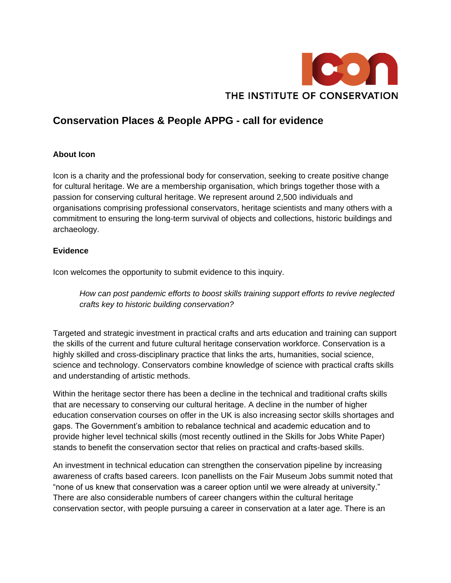

## **Conservation Places & People APPG - call for evidence**

## **About Icon**

Icon is a charity and the professional body for conservation, seeking to create positive change for cultural heritage. We are a membership organisation, which brings together those with a passion for conserving cultural heritage. We represent around 2,500 individuals and organisations comprising professional conservators, heritage scientists and many others with a commitment to ensuring the long-term survival of objects and collections, historic buildings and archaeology.

## **Evidence**

Icon welcomes the opportunity to submit evidence to this inquiry.

*How can post pandemic efforts to boost skills training support efforts to revive neglected crafts key to historic building conservation?* 

Targeted and strategic investment in practical crafts and arts education and training can support the skills of the current and future cultural heritage conservation workforce. Conservation is a highly skilled and cross-disciplinary practice that links the arts, humanities, social science, science and technology. Conservators combine knowledge of science with practical crafts skills and understanding of artistic methods.

Within the heritage sector there has been a decline in the technical and traditional crafts skills that are necessary to conserving our cultural heritage. A decline in the number of higher education conservation courses on offer in the UK is also increasing sector skills shortages and gaps. The Government's ambition to rebalance technical and academic education and to provide higher level technical skills (most recently outlined in the Skills for Jobs White Paper) stands to benefit the conservation sector that relies on practical and crafts-based skills.

An investment in technical education can strengthen the conservation pipeline by increasing awareness of crafts based careers. Icon panellists on the Fair Museum Jobs summit noted that "none of us knew that conservation was a career option until we were already at university." There are also considerable numbers of career changers within the cultural heritage conservation sector, with people pursuing a career in conservation at a later age. There is an